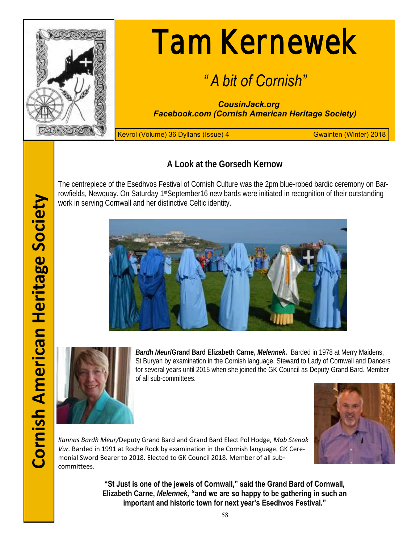

# Tam Kernewek

## *" A bit of Cornish"*

*CousinJack.org Facebook.com (Cornish American Heritage Society)*

Kevrol (Volume) 36 Dyllans (Issue) 4 Gwainten (Winter) 2018

**A Look at the Gorsedh Kernow**

The centrepiece of the Esedhvos Festival of Cornish Culture was the 2pm blue-robed bardic ceremony on Barrowfields, Newquay. On Saturday 1st September 16 new bards were initiated in recognition of their outstanding work in serving Cornwall and her distinctive Celtic identity.





*Bardh Meur***/Grand Bard Elizabeth Carne,** *Melennek.* Barded in 1978 at Merry Maidens, St Buryan by examination in the Cornish language. Steward to Lady of Cornwall and Dancers for several years until 2015 when she joined the GK Council as Deputy Grand Bard. Member of all sub-committees.



*Kannas Bardh Meur/*Deputy Grand Bard and Grand Bard Elect Pol Hodge, *Mab Stenak Vur.* Barded in 1991 at Roche Rock by examination in the Cornish language. GK Ceremonial Sword Bearer to 2018. Elected to GK Council 2018. Member of all subcommittees.

> **"St Just is one of the jewels of Cornwall," said the Grand Bard of Cornwall, Elizabeth Carne,** *Melennek,* **"and we are so happy to be gathering in such an important and historic town for next year's Esedhvos Festival."**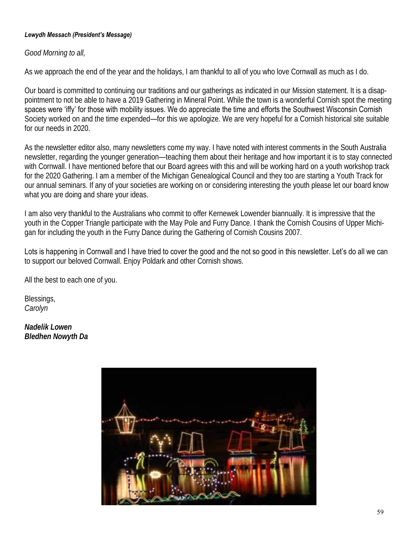#### *Lewydh Messach (President's Message)*

## *Good Morning to all,*

As we approach the end of the year and the holidays, I am thankful to all of you who love Cornwall as much as I do.

Our board is committed to continuing our traditions and our gatherings as indicated in our Mission statement. It is a disappointment to not be able to have a 2019 Gathering in Mineral Point. While the town is a wonderful Cornish spot the meeting spaces were 'iffy' for those with mobility issues. We do appreciate the time and efforts the Southwest Wisconsin Cornish Society worked on and the time expended—for this we apologize. We are very hopeful for a Cornish historical site suitable for our needs in 2020.

As the newsletter editor also, many newsletters come my way. I have noted with interest comments in the South Australia newsletter, regarding the younger generation—teaching them about their heritage and how important it is to stay connected with Cornwall. I have mentioned before that our Board agrees with this and will be working hard on a youth workshop track for the 2020 Gathering. I am a member of the Michigan Genealogical Council and they too are starting a Youth Track for our annual seminars. If any of your societies are working on or considering interesting the youth please let our board know what you are doing and share your ideas.

I am also very thankful to the Australians who commit to offer Kernewek Lowender biannually. It is impressive that the youth in the Copper Triangle participate with the May Pole and Furry Dance. I thank the Cornish Cousins of Upper Michigan for including the youth in the Furry Dance during the Gathering of Cornish Cousins 2007.

Lots is happening in Cornwall and I have tried to cover the good and the not so good in this newsletter. Let's do all we can to support our beloved Cornwall. Enjoy Poldark and other Cornish shows.

All the best to each one of you.

Blessings, *Carolyn*

*Nadelik Lowen Bledhen Nowyth Da* 

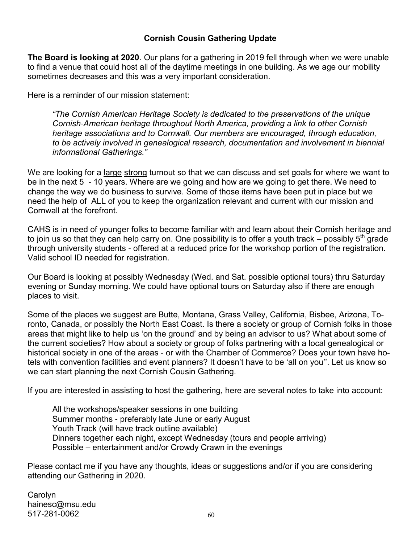## **Cornish Cousin Gathering Update**

**The Board is looking at 2020**. Our plans for a gathering in 2019 fell through when we were unable to find a venue that could host all of the daytime meetings in one building. As we age our mobility sometimes decreases and this was a very important consideration.

Here is a reminder of our mission statement:

*"The Cornish American Heritage Society is dedicated to the preservations of the unique Cornish-American heritage throughout North America, providing a link to other Cornish heritage associations and to Cornwall. Our members are encouraged, through education, to be actively involved in genealogical research, documentation and involvement in biennial informational Gatherings."*

We are looking for a large strong turnout so that we can discuss and set goals for where we want to be in the next 5 - 10 years. Where are we going and how are we going to get there. We need to change the way we do business to survive. Some of those items have been put in place but we need the help of ALL of you to keep the organization relevant and current with our mission and Cornwall at the forefront.

CAHS is in need of younger folks to become familiar with and learn about their Cornish heritage and to join us so that they can help carry on. One possibility is to offer a youth track – possibly  $5<sup>th</sup>$  grade through university students - offered at a reduced price for the workshop portion of the registration. Valid school ID needed for registration.

Our Board is looking at possibly Wednesday (Wed. and Sat. possible optional tours) thru Saturday evening or Sunday morning. We could have optional tours on Saturday also if there are enough places to visit.

Some of the places we suggest are Butte, Montana, Grass Valley, California, Bisbee, Arizona, Toronto, Canada, or possibly the North East Coast. Is there a society or group of Cornish folks in those areas that might like to help us 'on the ground' and by being an advisor to us? What about some of the current societies? How about a society or group of folks partnering with a local genealogical or historical society in one of the areas - or with the Chamber of Commerce? Does your town have hotels with convention facilities and event planners? It doesn't have to be 'all on you''. Let us know so we can start planning the next Cornish Cousin Gathering.

If you are interested in assisting to host the gathering, here are several notes to take into account:

All the workshops/speaker sessions in one building Summer months - preferably late June or early August Youth Track (will have track outline available) Dinners together each night, except Wednesday (tours and people arriving) Possible – entertainment and/or Crowdy Crawn in the evenings

Please contact me if you have any thoughts, ideas or suggestions and/or if you are considering attending our Gathering in 2020.

Carolyn hainesc@msu.edu  $517 - 281 - 0062$  60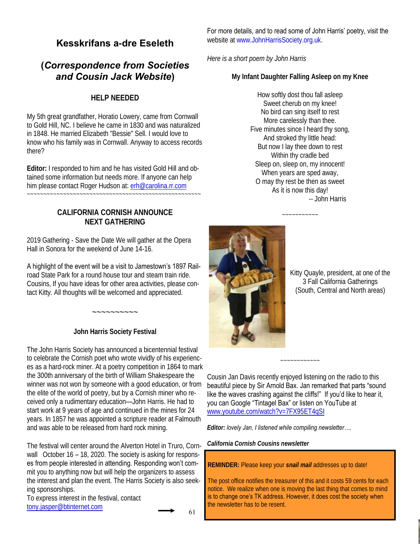## **Kesskrifans a-dre Eseleth**

## **(***Correspondence from Societies and Cousin Jack Website***)**

## **HELP NEEDED**

My 5th great grandfather, Horatio Lowery, came from Cornwall to Gold Hill, NC. I believe he came in 1830 and was naturalized in 1848. He married Elizabeth "Bessie" Sell. I would love to know who his family was in Cornwall. Anyway to access records there?

**Editor:** I responded to him and he has visited Gold Hill and obtained some information but needs more. If anyone can help him please contact Roger Hudson at: [erh@carolina.rr.com](mailto:erh@carolina.rr.com)

~~~~~~~~~~~~~~~~~~~~~~~~~~~~~~~~~~~~~~~~~~~~~~~~~~~~~

## **CALIFORNIA CORNISH ANNOUNCE NEXT GATHERING**

2019 Gathering - Save the Date We will gather at the Opera Hall in Sonora for the weekend of June 14-16.

#### A highlight of the event will be a visit to Jamestown's 1897 Rail-

road State Park for a round house tour and steam train ride. Cousins, If you have ideas for other area activities, please contact Kitty. All thoughts will be welcomed and appreciated.

**John Harris Society Festival**

 $\sim\sim\sim\sim\sim\sim\sim\sim\sim$ 

The John Harris Society has announced a bicentennial festival to celebrate the Cornish poet who wrote vividly of his experiences as a hard-rock miner. At a poetry competition in 1864 to mark the 300th anniversary of the birth of William Shakespeare the winner was not won by someone with a good education, or from the elite of the world of poetry, but by a Cornish miner who received only a rudimentary education—John Harris. He had to start work at 9 years of age and continued in the mines for 24 years. In 1857 he was appointed a scripture reader at Falmouth and was able to be released from hard rock mining.

The festival will center around the Alverton Hotel in Truro, Cornwall October 16 – 18, 2020. The society is asking for responses from people interested in attending. Responding won't commit you to anything now but will help the organizers to assess the interest and plan the event. The Harris Society is also seeking sponsorships.

To express interest in the festival, contact [tony.jasper@btinternet.com](mailto:tony.jasper@btinternet.com)

For more details, and to read some of John Harris' poetry, visit the website at www.JohnHarrisSociety.org.uk.

*Here is a short poem by John Harris*

**My Infant Daughter Falling Asleep on my Knee** 

How softly dost thou fall asleep Sweet cherub on my knee! No bird can sing itself to rest More carelessly than thee. Five minutes since I heard thy song, And stroked thy little head: But now I lay thee down to rest Within thy cradle bed Sleep on, sleep on, my innocent! When years are sped away, O may thy rest be then as sweet As it is now this day! -- John Harris

~~~~~~~~~~~



Kitty Quayle, president, at one of the 3 Fall California Gatherings (South, Central and North areas)

Cousin Jan Davis recently enjoyed listening on the radio to this beautiful piece by Sir Arnold Bax. Jan remarked that parts "sound like the waves crashing against the cliffs!" If you'd like to hear it, you can Google "Tintagel Bax" or listen on YouTube at [www.youtube.com/watch?v=7FX95ET4qSI](http://www.youtube.com/watch?v=7FX95ET4qSI)

~~~~~~~~~~~~

*Editor: lovely Jan, I listened while compiling newsletter….*

*California Cornish Cousins newsletter*

**REMINDER:** Please keep your *snail mail* addresses up to date!

The post office notifies the treasurer of this and it costs 59 cents for each notice. We realize when one is moving the last thing that comes to mind is to change one's TK address. However, it does cost the society when the newsletter has to be resent.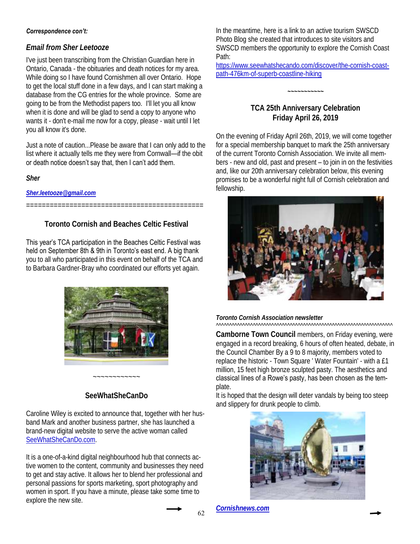## *Email from Sher Leetooze*

I've just been transcribing from the Christian Guardian here in Ontario, Canada - the obituaries and death notices for my area. While doing so I have found Cornishmen all over Ontario. Hope to get the local stuff done in a few days, and I can start making a database from the CG entries for the whole province. Some are going to be from the Methodist papers too. I'll let you all know when it is done and will be glad to send a copy to anyone who wants it - don't e-mail me now for a copy, please - wait until I let you all know it's done.

Just a note of caution...Please be aware that I can only add to the list where it actually tells me they were from Cornwall—if the obit or death notice doesn't say that, then I can't add them.

*Sher*

*[Sher.leetooze@gmail.com](mailto:Sher.leetooze@gmail.com)*

**Toronto Cornish and Beaches Celtic Festival**

=============================================

This year's TCA participation in the Beaches Celtic Festival was held on September 8th & 9th in Toronto's east end. A big thank you to all who participated in this event on behalf of the TCA and to Barbara Gardner-Bray who coordinated our efforts yet again.



## **SeeWhatSheCanDo**

~~~~~~~~~~~~

Caroline Wiley is excited to announce that, together with her husband Mark and another business partner, she has launched a brand-new digital website to serve the active woman called [SeeWhatSheCanDo.com.](http://www.SeeWhatSheCanDo.com) 

It is a one-of-a-kind digital neighbourhood hub that connects active women to the content, community and businesses they need to get and stay active. It allows her to blend her professional and personal passions for sports marketing, sport photography and women in sport. If you have a minute, please take some time to explore the new site.

In the meantime, here is a link to an active tourism SWSCD Photo Blog she created that introduces to site visitors and SWSCD members the opportunity to explore the Cornish Coast Path:

[https://www.seewhatshecando.com/discover/the-cornish-coast](https://www.seewhatshecando.com/discover/the-cornish-coast-path-476km-of-superb-coastline-hiking)[path-476km-of-superb-coastline-hiking](https://www.seewhatshecando.com/discover/the-cornish-coast-path-476km-of-superb-coastline-hiking)

## **TCA 25th Anniversary Celebration Friday April 26, 2019**

*~~~~~~~~~~~*

On the evening of Friday April 26th, 2019, we will come together for a special membership banquet to mark the 25th anniversary of the current Toronto Cornish Association. We invite all members - new and old, past and present – to join in on the festivities and, like our 20th anniversary celebration below, this evening promises to be a wonderful night full of Cornish celebration and fellowship.



*Toronto Cornish Association newsletter* ^^^^^^^^^^^^^^^^^^^^^^^^^^^^^^^^^^^^^^^^^^^^^^^^^^^^^^^^^^^^^^^^^^^

**Camborne Town Council** members, on Friday evening, were engaged in a record breaking, 6 hours of often heated, debate, in the Council Chamber By a 9 to 8 majority, members voted to replace the historic - Town Square ' Water Fountain' - with a £1 million, 15 feet high bronze sculpted pasty. The aesthetics and classical lines of a Rowe's pasty, has been chosen as the template.

It is hoped that the design will deter vandals by being too steep and slippery for drunk people to climb.



*[Cornishnews.com](https://cornishnews.com/2018/04/23/camborne-towns-water-fountain-to-be-replaced-by-pasty-statue/)*

62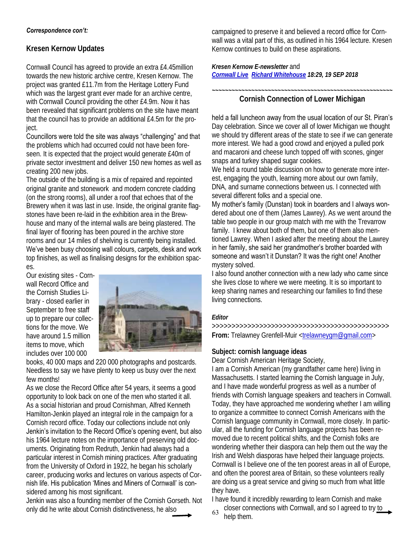## **Kresen Kernow Updates**

Cornwall Council has agreed to provide an extra £4.45million towards the new historic archive centre, Kresen Kernow. The project was granted £11.7m from the Heritage Lottery Fund which was the largest grant ever made for an archive centre, with Cornwall Council providing the other £4.9m. Now it has been revealed that significant problems on the site have meant that the council has to provide an additional £4.5m for the project.

Councillors were told the site was always "challenging" and that the problems which had occurred could not have been foreseen. It is expected that the project would generate £40m of private sector investment and deliver 150 new homes as well as creating 200 new jobs.

The outside of the building is a mix of repaired and repointed original granite and stonework and modern concrete cladding (on the strong rooms), all under a roof that echoes that of the Brewery when it was last in use. Inside, the original granite flagstones have been re-laid in the exhibition area in the Brewhouse and many of the internal walls are being plastered. The final layer of flooring has been poured in the archive store rooms and our 14 miles of shelving is currently being installed. We've been busy choosing wall colours, carpets, desk and work top finishes, as well as finalising designs for the exhibition spaces.

Our existing sites - Cornwall Record Office and the Cornish Studies Library - closed earlier in September to free staff up to prepare our collections for the move. We have around 1.5 million items to move, which includes over 100 000



books, 40 000 maps and 220 000 photographs and postcards. Needless to say we have plenty to keep us busy over the next few months!

As we close the Record Office after 54 years, it seems a good opportunity to look back on one of the men who started it all. As a social historian and proud Cornishman, Alfred Kenneth Hamilton-Jenkin played an integral role in the campaign for a Cornish record office. Today our collections include not only Jenkin's invitation to the Record Office's opening event, but also his 1964 lecture notes on the importance of preserving old documents. Originating from Redruth, Jenkin had always had a particular interest in Cornish mining practices. After graduating from the University of Oxford in 1922, he began his scholarly career, producing works and lectures on various aspects of Cornish life. His publication 'Mines and Miners of Cornwall' is considered among his most significant.

Jenkin was also a founding member of the Cornish Gorseth. Not only did he write about Cornish distinctiveness, he also

campaigned to preserve it and believed a record office for Cornwall was a vital part of this, as outlined in his 1964 lecture. Kresen Kernow continues to build on these aspirations.

*Kresen Kernow E-newsletter* and *[Cornwall Live](http://www.cornwalllive.com/news/cornwall-news/new-archive-centre-goes-way-2019654) [Richard Whitehouse](cornwalllive.com/authors/richard-whitehouse) 18:29, 19 SEP 2018* 

*~~~~~~~~~~~~~~~~~~~~~~~~~~~~~~~~~~~~~~~~~~~~~~~~~~~~~~~* **Cornish Connection of Lower Michigan** 

## held a fall luncheon away from the usual location of our St. Piran's

Day celebration. Since we cover all of lower Michigan we thought we should try different areas of the state to see if we can generate more interest. We had a good crowd and enjoyed a pulled pork and macaroni and cheese lunch topped off with scones, ginger snaps and turkey shaped sugar cookies.

We held a round table discussion on how to generate more interest, engaging the youth, learning more about our own family, DNA, and surname connections between us. I connected with several different folks and a special one.

My mother's family (Dunstan) took in boarders and I always wondered about one of them (James Lawrey). As we went around the table two people in our group match with me with the Trevarrow family. I knew about both of them, but one of them also mentioned Lawrey. When I asked after the meeting about the Lawrey in her family, she said her grandmother's brother boarded with someone and wasn't it Dunstan? It was the right one! Another mystery solved.

I also found another connection with a new lady who came since she lives close to where we were meeting. It is so important to keep sharing names and researching our families to find these living connections.

#### *Editor*

>>>>>>>>>>>>>>>>>>>>>>>>>>>>>>>>>>>>>>>>>>>>> **From:** Trelawney Grenfell-Muir [<trelawneygm@gmail.com>](mailto:trelawneygm@gmail.com)

## **Subject: cornish language ideas**

Dear Cornish American Heritage Society,

I am a Cornish American (my grandfather came here) living in Massachusetts. I started learning the Cornish language in July, and I have made wonderful progress as well as a number of friends with Cornish language speakers and teachers in Cornwall. Today, they have approached me wondering whether I am willing to organize a committee to connect Cornish Americans with the Cornish language community in Cornwall, more closely. In particular, all the funding for Cornish language projects has been removed due to recent political shifts, and the Cornish folks are wondering whether their diaspora can help them out the way the Irish and Welsh diasporas have helped their language projects. Cornwall is I believe one of the ten poorest areas in all of Europe, and often the poorest area of Britain, so these volunteers really are doing us a great service and giving so much from what little they have.

I have found it incredibly rewarding to learn Cornish and make

closer connections with Cornwall, and so I agreed to try to  $63$  help them.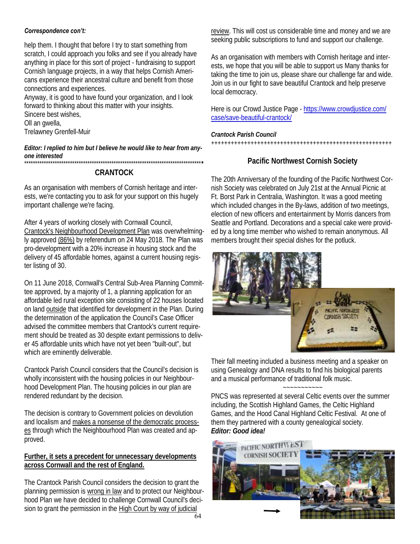help them. I thought that before I try to start something from scratch, I could approach you folks and see if you already have anything in place for this sort of project - fundraising to support Cornish language projects, in a way that helps Cornish Americans experience their ancestral culture and benefit from those connections and experiences.

Anyway, it is good to have found your organization, and I look forward to thinking about this matter with your insights. Sincere best wishes, Oll an gwella, Trelawney Grenfell-Muir

*Editor: I replied to him but I believe he would like to hear from anyone interested* \*\*\*\*\*\*\*\*\*\*\*\*\*\*\*\*\*\*\*\*\*\*\*\*\*\*\*\*\*\*\*\*\*\*\*\*\*\*\*\*\*\*\*\*\*\*\*\*\*\*\*\*\*\*\*\*\*\*\*\*\*\*\*\*\*\*\*\*\*\*\*\*\*\*\*\*\*\*\*\*\***\***

#### **CRANTOCK**

As an organisation with members of Cornish heritage and interests, we're contacting you to ask for your support on this hugely important challenge we're facing.

After 4 years of working closely with Cornwall Council, Crantock's Neighbourhood Development Plan was overwhelmingly approved (86%) by referendum on 24 May 2018. The Plan was pro-development with a 20% increase in housing stock and the delivery of 45 affordable homes, against a current housing register listing of 30.

On 11 June 2018, Cornwall's Central Sub-Area Planning Committee approved, by a majority of 1, a planning application for an affordable led rural exception site consisting of 22 houses located on land outside that identified for development in the Plan. During the determination of the application the Council's Case Officer advised the committee members that Crantock's current requirement should be treated as 30 despite extant permissions to deliver 45 affordable units which have not yet been "built-out", but which are eminently deliverable.

Crantock Parish Council considers that the Council's decision is wholly inconsistent with the housing policies in our Neighbourhood Development Plan. The housing policies in our plan are rendered redundant by the decision.

The decision is contrary to Government policies on devolution and localism and makes a nonsense of the democratic processes through which the Neighbourhood Plan was created and approved.

#### **Further, it sets a precedent for unnecessary developments across Cornwall and the rest of England.**

The Crantock Parish Council considers the decision to grant the planning permission is wrong in law and to protect our Neighbourhood Plan we have decided to challenge Cornwall Council's decision to grant the permission in the High Court by way of judicial

review. This will cost us considerable time and money and we are seeking public subscriptions to fund and support our challenge.

As an organisation with members with Cornish heritage and interests, we hope that you will be able to support us Many thanks for taking the time to join us, please share our challenge far and wide. Join us in our fight to save beautiful Crantock and help preserve local democracy.

Here is our [Crowd Justice](https://urldefense.proofpoint.com/v2/url?u=https-3A__www.crowdjustice.com_case_save-2Dbeautiful-2Dcrantock_&d=DwMFaQ&c=nE__W8dFE-shTxStwXtp0A&r=Zfk7b_46swAEmC28Oc9cfw&m=x6SFPgcKaTkvd4V6FECahLu4uTwPr0dhfAbzUbTHNXM&s=vjp8g2V4De9_SJ6xOhQeNFHsxewtQ21LBDUf2SBIGVc&) Page - [https://www.crowdjustice.com/](https://urldefense.proofpoint.com/v2/url?u=https-3A__www.crowdjustice.com_case_save-2Dbeautiful-2Dcrantock_&d=DwMFaQ&c=nE__W8dFE-shTxStwXtp0A&r=Zfk7b_46swAEmC28Oc9cfw&m=x6SFPgcKaTkvd4V6FECahLu4uTwPr0dhfAbzUbTHNXM&s=vjp8g2V4De9_SJ6xOhQeNFHsxewtQ21LBDUf2SBIGVc&) [case/save-beautiful-crantock/](https://urldefense.proofpoint.com/v2/url?u=https-3A__www.crowdjustice.com_case_save-2Dbeautiful-2Dcrantock_&d=DwMFaQ&c=nE__W8dFE-shTxStwXtp0A&r=Zfk7b_46swAEmC28Oc9cfw&m=x6SFPgcKaTkvd4V6FECahLu4uTwPr0dhfAbzUbTHNXM&s=vjp8g2V4De9_SJ6xOhQeNFHsxewtQ21LBDUf2SBIGVc&) 

*Crantock Parish Council* 

## +++++++++++++++++++++++++++++++++++++++++++++++++++++++

## **Pacific Northwest Cornish Society**

The 20th Anniversary of the founding of the Pacific Northwest Cornish Society was celebrated on July 21st at the Annual Picnic at Ft. Borst Park in Centralia, Washington. It was a good meeting which included changes in the By-laws, addition of two meetings, election of new officers and entertainment by Morris dancers from Seattle and Portland. Decorations and a special cake were provided by a long time member who wished to remain anonymous. All members brought their special dishes for the potluck.



Their fall meeting included a business meeting and a speaker on using Genealogy and DNA results to find his biological parents and a musical performance of traditional folk music.

~~~~~~~~~~~

PNCS was represented at several Celtic events over the summer including, the Scottish Highland Games, the Celtic Highland Games, and the Hood Canal Highland Celtic Festival. At one of them they partnered with a county genealogical society. *Editor: Good idea!*

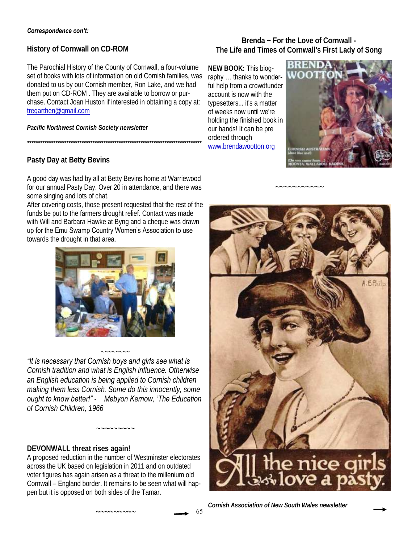**History of Cornwall on CD-ROM** 

The Parochial History of the County of Cornwall, a four-volume set of books with lots of information on old Cornish families, was donated to us by our Cornish member, Ron Lake, and we had them put on CD-ROM . They are available to borrow or purchase. Contact Joan Huston if interested in obtaining a copy at: [tregarthen@gmail.com](mailto:tregarthen@gmail.com)

*Pacific Northwest Cornish Society newsletter*

**Pasty Day at Betty Bevins**

A good day was had by all at Betty Bevins home at Warriewood for our annual Pasty Day. Over 20 in attendance, and there was some singing and lots of chat.

*\*\*\*\*\*\*\*\*\*\*\*\*\*\*\*\*\*\*\*\*\*\*\*\*\*\*\*\*\*\*\*\*\*\*\*\*\*\*\*\*\*\*\*\*\*\*\*\*\*\*\*\*\*\*\*\*\*\*\*\*\*\*\*\*\*\*\*\*\*\*\*\*\*\*\*\*\*\*\*\**

After covering costs, those present requested that the rest of the funds be put to the farmers drought relief. Contact was made with Will and Barbara Hawke at Byng and a cheque was drawn up for the Emu Swamp Country Women's Association to use towards the drought in that area.



~~~~~~~~ *"It is necessary that Cornish boys and girls see what is* 

*Cornish tradition and what is English influence. Otherwise an English education is being applied to Cornish children making them less Cornish. Some do this innocently, some ought to know better!" - Mebyon Kernow, 'The Education of Cornish Children, 1966*

*~~~~~~~~~*

## **DEVONWALL threat rises again!**

A proposed reduction in the number of Westminster electorates across the UK based on legislation in 2011 and on outdated voter figures has again arisen as a threat to the millenium old Cornwall – England border. It remains to be seen what will happen but it is opposed on both sides of the Tamar.

*~~~~~~~~~*

**Brenda ~ For the Love of Cornwall - The Life and Times of Cornwall's First Lady of Song**

~~~~~~~~~~~

**NEW BOOK:** This biography … thanks to wonderful help from a crowdfunder account is now with the typesetters... it's a matter of weeks now until we're holding the finished book in our hands! It can be pre ordered through [www.brendawootton.org](http://www.brendawootton.org)



A. E.Phil the nice gir<br>\*Nove a pasi

*Cornish Association of New South Wales newsletter*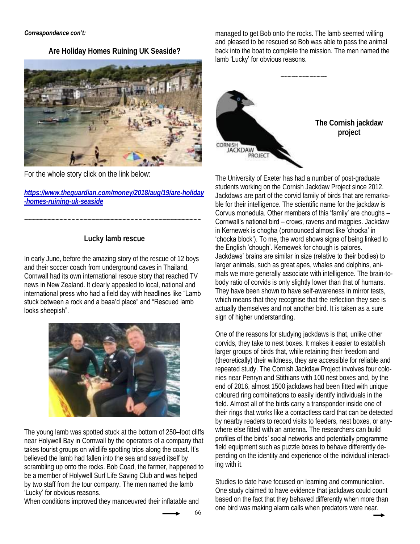**Are Holiday Homes Ruining UK Seaside?**



For the whole story click on the link below:

*[https://www.theguardian.com/money/2018/aug/19/are-holiday](https://www.theguardian.com/money/2018/aug/19/are-holiday-homes-ruining-uk-seaside) [-homes-ruining-uk-seaside](https://www.theguardian.com/money/2018/aug/19/are-holiday-homes-ruining-uk-seaside)*

**Lucky lamb rescue** 

~~~~~~~~~~~~~~~~~~~~~~~~~~~~~~~~~~~~~~~~~~~~~

In early June, before the amazing story of the rescue of 12 boys and their soccer coach from underground caves in Thailand, Cornwall had its own international rescue story that reached TV news in New Zealand. It clearly appealed to local, national and international press who had a field day with headlines like "Lamb stuck between a rock and a baaa'd place" and "Rescued lamb looks sheepish".



The young lamb was spotted stuck at the bottom of 250–foot cliffs near Holywell Bay in Cornwall by the operators of a company that takes tourist groups on wildlife spotting trips along the coast. It's believed the lamb had fallen into the sea and saved itself by scrambling up onto the rocks. Bob Coad, the farmer, happened to be a member of Holywell Surf Life Saving Club and was helped by two staff from the tour company. The men named the lamb 'Lucky' for obvious reasons.

When conditions improved they manoeuvred their inflatable and

managed to get Bob onto the rocks. The lamb seemed willing and pleased to be rescued so Bob was able to pass the animal back into the boat to complete the mission. The men named the lamb 'Lucky' for obvious reasons.



The University of Exeter has had a number of post-graduate students working on the Cornish Jackdaw Project since 2012. Jackdaws are part of the corvid family of birds that are remarkable for their intelligence. The scientific name for the jackdaw is Corvus monedula. Other members of this 'family' are choughs – Cornwall's national bird – crows, ravens and magpies. Jackdaw in Kernewek is chogha (pronounced almost like 'chocka' in 'chocka block'). To me, the word shows signs of being linked to the English 'chough'. Kernewek for chough is palores. Jackdaws' brains are similar in size (relative to their bodies) to larger animals, such as great apes, whales and dolphins, animals we more generally associate with intelligence. The brain-tobody ratio of corvids is only slightly lower than that of humans. They have been shown to have self-awareness in mirror tests, which means that they recognise that the reflection they see is actually themselves and not another bird. It is taken as a sure sign of higher understanding.

One of the reasons for studying jackdaws is that, unlike other corvids, they take to nest boxes. It makes it easier to establish larger groups of birds that, while retaining their freedom and (theoretically) their wildness, they are accessible for reliable and repeated study. The Cornish Jackdaw Project involves four colonies near Penryn and Stithians with 100 nest boxes and, by the end of 2016, almost 1500 jackdaws had been fitted with unique coloured ring combinations to easily identify individuals in the field. Almost all of the birds carry a transponder inside one of their rings that works like a contactless card that can be detected by nearby readers to record visits to feeders, nest boxes, or anywhere else fitted with an antenna. The researchers can build profiles of the birds' social networks and potentially programme field equipment such as puzzle boxes to behave differently depending on the identity and experience of the individual interacting with it.

Studies to date have focused on learning and communication. One study claimed to have evidence that jackdaws could count based on the fact that they behaved differently when more than one bird was making alarm calls when predators were near.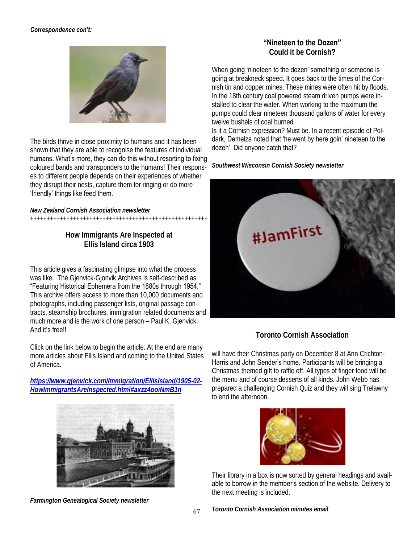

The birds thrive in close proximity to humans and it has been shown that they are able to recognise the features of individual humans. What's more, they can do this without resorting to fixing coloured bands and transponders to the humans! Their responses to different people depends on their experiences of whether they disrupt their nests, capture them for ringing or do more 'friendly' things like feed them.

*New Zealand Cornish Association newsletter*

++++++++++++++++++++++++++++++++++++++++++++++++++++++

**How Immigrants Are Inspected at Ellis Island circa 1903**

This article gives a fascinating glimpse into what the process was like. The Gjenvick-Gjonvik Archives is self-described as "Featuring Historical Ephemera from the 1880s through 1954." This archive offers access to more than 10,000 documents and photographs, including passenger lists, original passage contracts, steamship brochures, immigration related documents and much more and is the work of one person – Paul K. Gjenvick. And it's free!!

Click on the link below to begin the article. At the end are many more articles about Ellis Island and coming to the United States of America.

*[https://www.gjenvick.com/Immigration/EllisIsland/1905-02-](https://www.gjenvick.com/Immigration/EllisIsland/1905-02-HowImmigrantsAreInspected.html#axzz4ooiNmB1n) [HowImmigrantsAreInspected.html#axzz4ooiNmB1n](https://www.gjenvick.com/Immigration/EllisIsland/1905-02-HowImmigrantsAreInspected.html#axzz4ooiNmB1n)*



*Farmington Genealogical Society newsletter*

**"Nineteen to the Dozen"**

**Could it be Cornish?**

When going 'nineteen to the dozen' something or someone is

going at breakneck speed. It goes back to the times of the Cornish tin and copper mines. These mines were often hit by floods. In the 18th century coal powered steam driven pumps were installed to clear the water. When working to the maximum the pumps could clear nineteen thousand gallons of water for every twelve bushels of coal burned.

Is it a Cornish expression? Must be. In a recent episode of Poldark, Demelza noted that 'he went by here goin' nineteen to the dozen'. Did anyone catch that?

*Southwest Wisconsin Cornish Society newsletter* 



**Toronto Cornish Association**

will have their Christmas party on December 8 at Ann Crichton-Harris and John Sender's home. Participants will be bringing a Christmas themed gift to raffle off. All types of finger food will be the menu and of course desserts of all kinds. John Webb has prepared a challenging Cornish Quiz and they will sing Trelawny to end the afternoon.



Their library in a box is now sorted by general headings and available to borrow in the member's section of the website. Delivery to the next meeting is included.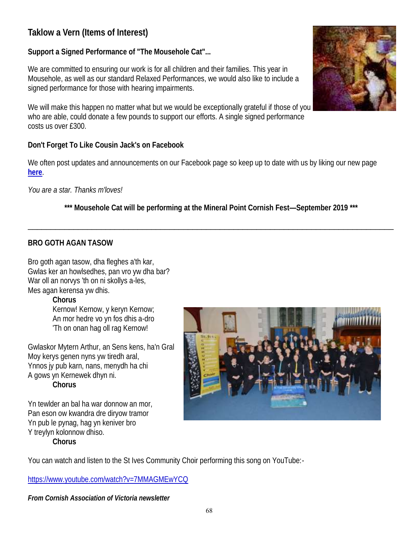## **Taklow a Vern (Items of Interest)**

**Support a Signed Performance of "The Mousehole Cat"...**

We are committed to ensuring our work is for all children and their families. This year in Mousehole, as well as our standard Relaxed Performances, we would also like to include a signed performance for those with hearing impairments.

We will make this happen no matter what but we would be exceptionally grateful if those of you who are able, could donate a few pounds to support our efforts. A single signed performance costs us over £300.

**Don't Forget To Like Cousin Jack's on Facebook**

We often post updates and announcements on our Facebook page so keep up to date with us by liking our new page **[here](https://www.facebook.com/cousinjackstheatre/)**.

*You are a star. Thanks m'loves!*

\*\*\* Mousehole Cat will be performing at the Mineral Point Cornish Fest-September 2019 \*\*\*

 $\_$ 

## **BRO GOTH AGAN TASOW**

Bro goth agan tasow, dha fleghes a'th kar, Gwlas ker an howlsedhes, pan vro yw dha bar? War oll an norvys 'th on ni skollys a-les, Mes agan kerensa yw dhis.

**Chorus** Kernow! Kernow, y keryn Kernow; An mor hedre vo yn fos dhis a-dro 'Th on onan hag oll rag Kernow!

Gwlaskor Mytern Arthur, an Sens kens, ha'n Gral Moy kerys genen nyns yw tiredh aral, Ynnos jy pub karn, nans, menydh ha chi A gows yn Kernewek dhyn ni. **Chorus**

Yn tewlder an bal ha war donnow an mor, Pan eson ow kwandra dre diryow tramor Yn pub le pynag, hag yn keniver bro Y treylyn kolonnow dhiso. **Chorus**



You can watch and listen to the St Ives Community Choir performing this song on YouTube:-

<https://www.youtube.com/watch?v=7MMAGMEwYCQ>

*From Cornish Association of Victoria newsletter*

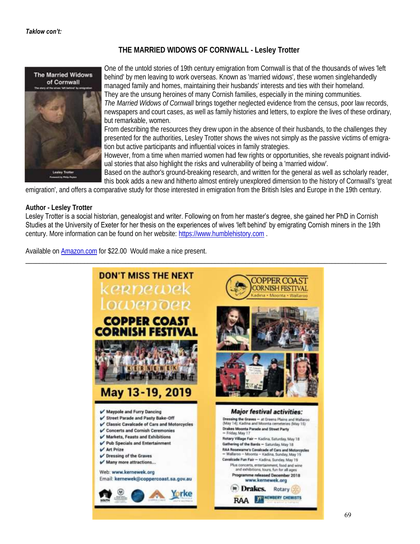## **THE MARRIED WIDOWS OF CORNWALL - Lesley Trotter**



One of the untold stories of 19th century emigration from Cornwall is that of the thousands of wives 'left behind' by men leaving to work overseas. Known as 'married widows', these women singlehandedly managed family and homes, maintaining their husbands' interests and ties with their homeland. They are the unsung heroines of many Cornish families, especially in the mining communities. *The Married Widows of Cornwall* brings together neglected evidence from the census, poor law records, newspapers and court cases, as well as family histories and letters, to explore the lives of these ordinary, but remarkable, women.

From describing the resources they drew upon in the absence of their husbands, to the challenges they presented for the authorities, Lesley Trotter shows the wives not simply as the passive victims of emigration but active participants and influential voices in family strategies.

However, from a time when married women had few rights or opportunities, she reveals poignant individual stories that also highlight the risks and vulnerability of being a 'married widow'.

Based on the author's ground-breaking research, and written for the general as well as scholarly reader, this book adds a new and hitherto almost entirely unexplored dimension to the history of Cornwall's 'great

emigration', and offers a comparative study for those interested in emigration from the British Isles and Europe in the 19th century.

#### **Author - Lesley Trotter**

Lesley Trotter is a social historian, genealogist and writer. Following on from her master's degree, she gained her PhD in Cornish Studies at the University of Exeter for her thesis on the experiences of wives 'left behind' by emigrating Cornish miners in the 19th century. More information can be found on her website: <https://www.humblehistory.com> .

Available on [Amazon.com](https://www.amazon.com/Married-Widows-Cornwall-behind-emigration/dp/1999610407/ref=sr_1_1?ie=UTF8&qid=1542555593&sr=8-1&keywords=married+widows+of+cornwall) for \$22.00 Would make a nice present.

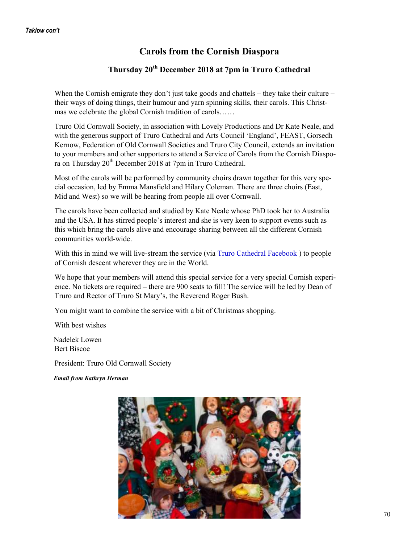## **Carols from the Cornish Diaspora**

## **Thursday 20th December 2018 at 7pm in Truro Cathedral**

When the Cornish emigrate they don't just take goods and chattels – they take their culture – their ways of doing things, their humour and yarn spinning skills, their carols. This Christmas we celebrate the global Cornish tradition of carols……

Truro Old Cornwall Society, in association with Lovely Productions and Dr Kate Neale, and with the generous support of Truro Cathedral and Arts Council 'England', FEAST, Gorsedh Kernow, Federation of Old Cornwall Societies and Truro City Council, extends an invitation to your members and other supporters to attend a Service of Carols from the Cornish Diaspora on Thursday 20th December 2018 at 7pm in Truro Cathedral.

Most of the carols will be performed by community choirs drawn together for this very special occasion, led by Emma Mansfield and Hilary Coleman. There are three choirs (East, Mid and West) so we will be hearing from people all over Cornwall.

The carols have been collected and studied by Kate Neale whose PhD took her to Australia and the USA. It has stirred people's interest and she is very keen to support events such as this which bring the carols alive and encourage sharing between all the different Cornish communities world-wide.

With this in mind we will live-stream the service (via [Truro Cathedral Facebook](https://www.facebook.com/search/top/?q=truro%20cathedral) ) to people of Cornish descent wherever they are in the World.

We hope that your members will attend this special service for a very special Cornish experience. No tickets are required – there are 900 seats to fill! The service will be led by Dean of Truro and Rector of Truro St Mary's, the Reverend Roger Bush.

You might want to combine the service with a bit of Christmas shopping.

With best wishes

 Nadelek Lowen Bert Biscoe

President: Truro Old Cornwall Society

*Email from Kathryn Herman*

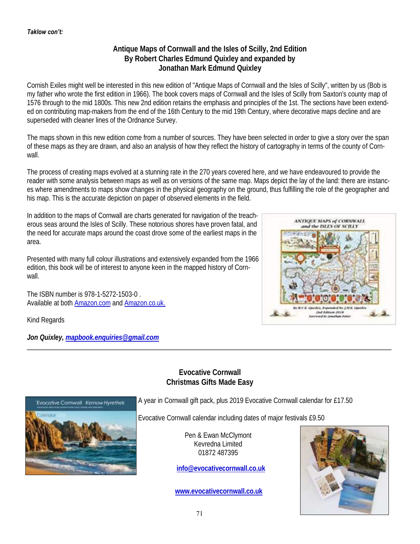## **Antique Maps of Cornwall and the Isles of Scilly, 2nd Edition By Robert Charles Edmund Quixley and expanded by Jonathan Mark Edmund Quixley**

Cornish Exiles might well be interested in this new edition of "Antique Maps of Cornwall and the Isles of Scilly", written by us (Bob is my father who wrote the first edition in 1966). The book covers maps of Cornwall and the Isles of Scilly from Saxton's county map of 1576 through to the mid 1800s. This new 2nd edition retains the emphasis and principles of the 1st. The sections have been extended on contributing map-makers from the end of the 16th Century to the mid 19th Century, where decorative maps decline and are superseded with cleaner lines of the Ordnance Survey.

The maps shown in this new edition come from a number of sources. They have been selected in order to give a story over the span of these maps as they are drawn, and also an analysis of how they reflect the history of cartography in terms of the county of Cornwall.

The process of creating maps evolved at a stunning rate in the 270 years covered here, and we have endeavoured to provide the reader with some analysis between maps as well as on versions of the same map. Maps depict the lay of the land: there are instances where amendments to maps show changes in the physical geography on the ground, thus fulfilling the role of the geographer and his map. This is the accurate depiction on paper of observed elements in the field.

In addition to the maps of Cornwall are charts generated for navigation of the treacherous seas around the Isles of Scilly. These notorious shores have proven fatal, and the need for accurate maps around the coast drove some of the earliest maps in the area.

Presented with many full colour illustrations and extensively expanded from the 1966 edition, this book will be of interest to anyone keen in the mapped history of Cornwall.

The ISBN number is 978-1-5272-1503-0 . Available at both [Amazon.com](https://www.amazon.com/ANTIQUE-MAPS-CORNWALL-ISLES-SCILLY/dp/1527215032/ref=sr_1_1?ie=UTF8&qid=1542919896&sr=8-1&keywords=antique+map+of+cornwall+and+the+isle+of+scilly) and [Amazon.co.uk.](https://www.amazon.co.uk/s/ref=nb_sb_noss_2?url=search-alias%3Daps&field-keywords=antique+map+of+cornwall+and+isle+of+scilly)

Kind Regards

*Jon Quixley, [mapbook.enquiries@gmail.com](mailto:mapbook.enquiries@gmail.com)*



## **Evocative Cornwall Christmas Gifts Made Easy**

\_\_\_\_\_\_\_\_\_\_\_\_\_\_\_\_\_\_\_\_\_\_\_\_\_\_\_\_\_\_\_\_\_\_\_\_\_\_\_\_\_\_\_\_\_\_\_\_\_\_\_\_\_\_\_\_\_\_\_\_\_\_\_\_\_\_\_\_\_\_\_\_\_\_\_\_\_\_\_\_\_\_\_\_\_\_\_\_\_\_\_\_\_\_\_\_\_\_\_\_\_\_\_\_\_\_



A year in Cornwall gift pack, plus 2019 Evocative Cornwall calendar for £17.50

Evocative Cornwall calendar including dates of major festivals £9.50

Pen & Ewan McClymont Kevredna Limited 01872 487395

**[info@evocativecornwall.co.uk](mailto:info@evocativecornwall.co.uk)**

**[www.evocativecornwall.co.uk](http://www.evocativecornwall.co.uk)**

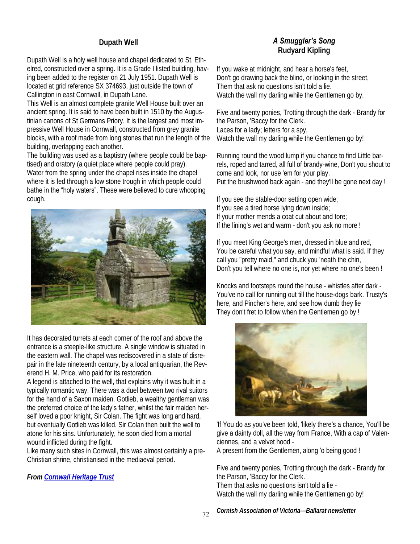## **Dupath Well**

Dupath Well is a holy well house and chapel dedicated to St. Ethelred, constructed over a spring. It is a Grade I listed building, having been added to the register on 21 July 1951. Dupath Well is located at grid reference SX 374693, just outside the town of Callington in east Cornwall, in Dupath Lane.

This Well is an almost complete granite Well House built over an ancient spring. It is said to have been built in 1510 by the Augustinian canons of St Germans Priory. It is the largest and most impressive Well House in Cornwall, constructed from grey granite blocks, with a roof made from long stones that run the length of the building, overlapping each another.

The building was used as a baptistry (where people could be baptised) and oratory (a quiet place where people could pray). Water from the spring under the chapel rises inside the chapel where it is fed through a low stone trough in which people could bathe in the "holy waters". These were believed to cure whooping cough.



It has decorated turrets at each corner of the roof and above the entrance is a steeple-like structure. A single window is situated in the eastern wall. The chapel was rediscovered in a state of disrepair in the late nineteenth century, by a local antiquarian, the Reverend H. M. Price, who paid for its restoration.

A legend is attached to the well, that explains why it was built in a typically romantic way. There was a duel between two rival suitors for the hand of a Saxon maiden. Gotlieb, a wealthy gentleman was the preferred choice of the lady's father, whilst the fair maiden herself loved a poor knight, Sir Colan. The fight was long and hard, but eventually Gotlieb was killed. Sir Colan then built the well to atone for his sins. Unfortunately, he soon died from a mortal wound inflicted during the fight.

Like many such sites in Cornwall, this was almost certainly a pre-Christian shrine, christianised in the mediaeval period.

*From [Cornwall Heritage Trust](http://www.cornwallheritagetrust.org/our-sites/dupath-well/)*

## *A Smuggler's Song*  **Rudyard Kipling**

If you wake at midnight, and hear a horse's feet, Don't go drawing back the blind, or looking in the street, Them that ask no questions isn't told a lie. Watch the wall my darling while the Gentlemen go by.

Five and twenty ponies, Trotting through the dark - Brandy for the Parson, 'Baccy for the Clerk. Laces for a lady; letters for a spy, Watch the wall my darling while the Gentlemen go by!

Running round the wood lump if you chance to find Little barrels, roped and tarred, all full of brandy-wine, Don't you shout to come and look, nor use 'em for your play. Put the brushwood back again - and they'll be gone next day !

If you see the stable-door setting open wide;

- If you see a tired horse lying down inside;
- If your mother mends a coat cut about and tore;
- If the lining's wet and warm don't you ask no more !

If you meet King George's men, dressed in blue and red, You be careful what you say, and mindful what is said. If they call you "pretty maid," and chuck you 'neath the chin, Don't you tell where no one is, nor yet where no one's been !

Knocks and footsteps round the house - whistles after dark - You've no call for running out till the house-dogs bark. Trusty's here, and Pincher's here, and see how dumb they lie They don't fret to follow when the Gentlemen go by !



'If You do as you've been told, 'likely there's a chance, You'll be give a dainty doll, all the way from France, With a cap of Valenciennes, and a velvet hood -

A present from the Gentlemen, along 'o being good !

Five and twenty ponies, Trotting through the dark - Brandy for the Parson, 'Baccy for the Clerk. Them that asks no questions isn't told a lie - Watch the wall my darling while the Gentlemen go by!

*Cornish Association of Victoria—Ballarat newsletter*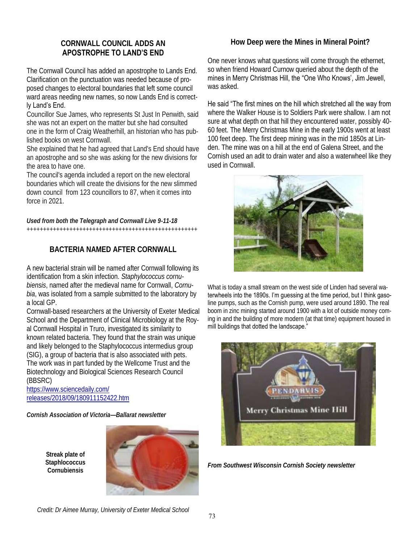## **CORNWALL COUNCIL ADDS AN APOSTROPHE TO LAND'S END**

The Cornwall Council has added an apostrophe to Lands End. Clarification on the punctuation was needed because of proposed changes to electoral boundaries that left some council ward areas needing new names, so now Lands End is correctly Land's End.

## Councillor Sue James, who represents St Just In Penwith, said she was not an expert on the matter but she had consulted

one in the form of Craig Weatherhill, an historian who has published books on west Cornwall.

She explained that he had agreed that Land's End should have an apostrophe and so she was asking for the new divisions for the area to have one.

The council's agenda included a report on the new electoral boundaries which will create the divisions for the new slimmed down council from 123 councillors to 87, when it comes into force in 2021.

*Used from both the Telegraph and Cornwall Live 9-11-18*  ++++++++++++++++++++++++++++++++++++++++++++++++++++

## **BACTERIA NAMED AFTER CORNWALL**

A new bacterial strain will be named after Cornwall following its identification from a skin infection. *Staphylococcus cornubiensis*, named after the medieval name for Cornwall, *Cornubia*, was isolated from a sample submitted to the laboratory by a local GP.

Cornwall-based researchers at the University of Exeter Medical School and the Department of Clinical Microbiology at the Royal Cornwall Hospital in Truro, investigated its similarity to known related bacteria. They found that the strain was unique and likely belonged to the Staphylococcus intermedius group (SIG), a group of bacteria that is also associated with pets. The work was in part funded by the Wellcome Trust and the Biotechnology and Biological Sciences Research Council (BBSRC)

[https://www.sciencedaily.com/](https://www.sciencedaily.com/releases/2018/09/180911152422.htm) [releases/2018/09/180911152422.htm](https://www.sciencedaily.com/releases/2018/09/180911152422.htm)

*Cornish Association of Victoria—Ballarat newsletter* 

**Streak plate of Staphlococcus Cornubiensis** 



## **How Deep were the Mines in Mineral Point?**

One never knows what questions will come through the ethernet, so when friend Howard Curnow queried about the depth of the mines in Merry Christmas Hill, the "One Who Knows', Jim Jewell, was asked.

He said "The first mines on the hill which stretched all the way from where the Walker House is to Soldiers Park were shallow. I am not sure at what depth on that hill they encountered water, possibly 40- 60 feet. The Merry Christmas Mine in the early 1900s went at least 100 feet deep. The first deep mining was in the mid 1850s at Linden. The mine was on a hill at the end of Galena Street, and the Cornish used an adit to drain water and also a waterwheel like they used in Cornwall.



What is today a small stream on the west side of Linden had several waterwheels into the 1890s. I'm guessing at the time period, but I think gasoline pumps, such as the Cornish pump, were used around 1890. The real boom in zinc mining started around 1900 with a lot of outside money coming in and the building of more modern (at that time) equipment housed in mill buildings that dotted the landscape."



*From Southwest Wisconsin Cornish Society newsletter*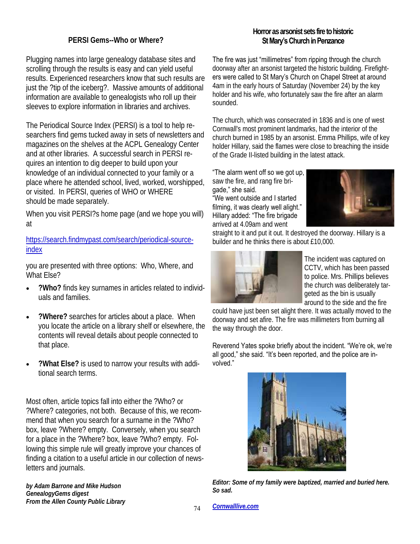## **PERSI Gems--Who or Where?**

Plugging names into large genealogy database sites and scrolling through the results is easy and can yield useful results. Experienced researchers know that such results are just the ?tip of the iceberg?. Massive amounts of additional information are available to genealogists who roll up their sleeves to explore information in libraries and archives.

The Periodical Source Index (PERSI) is a tool to help researchers find gems tucked away in sets of newsletters and magazines on the shelves at the ACPL Genealogy Center and at other libraries. A successful search in PERSI requires an intention to dig deeper to build upon your knowledge of an individual connected to your family or a place where he attended school, lived, worked, worshipped, or visited. In PERSI, queries of WHO or WHERE should be made separately.

When you visit PERSI?s home page (and we hope you will) at

[https://search.findmypast.com/search/periodical-source](https://search.findmypast.com/search/periodical-source-index)[index](https://search.findmypast.com/search/periodical-source-index)

you are presented with three options: Who, Where, and What Else?

- **?Who?** finds key surnames in articles related to individuals and families.
- **?Where?** searches for articles about a place. When you locate the article on a library shelf or elsewhere, the contents will reveal details about people connected to that place.
- **?What Else?** is used to narrow your results with additional search terms.

Most often, article topics fall into either the ?Who? or ?Where? categories, not both. Because of this, we recommend that when you search for a surname in the ?Who? box, leave ?Where? empty. Conversely, when you search for a place in the ?Where? box, leave ?Who? empty. Following this simple rule will greatly improve your chances of finding a citation to a useful article in our collection of newsletters and journals.

*by Adam Barrone and Mike Hudson GenealogyGems digest From the Allen County Public Library*

## **Horror as arsonist sets fire to historic St Mary's Church in Penzance**

The fire was just "millimetres" from ripping through the church doorway after an arsonist targeted the historic building. Firefighters were called to St Mary's Church on Chapel Street at around 4am in the early hours of Saturday (November 24) by the key holder and his wife, who fortunately saw the fire after an alarm sounded.

The church, which was consecrated in 1836 and is one of west Cornwall's most prominent landmarks, had the interior of the church burned in 1985 by an arsonist. Emma Phillips, wife of key holder Hillary, said the flames were close to breaching the inside of the Grade II-listed building in the latest attack.

"The alarm went off so we got up, saw the fire, and rang fire brigade," she said. "We went outside and I started filming, it was clearly well alight." Hillary added: "The fire brigade arrived at 4.09am and went



straight to it and put it out. It destroyed the doorway. Hillary is a builder and he thinks there is about £10,000.



The incident was captured on CCTV, which has been passed to police. Mrs. Phillips believes the church was deliberately targeted as the bin is usually around to the side and the fire

could have just been set alight there. It was actually moved to the doorway and set afire. The fire was millimeters from burning all the way through the door.

Reverend Yates spoke briefly about the incident. "We're ok, we're all good," she said. "It's been reported, and the police are involved."



*Editor: Some of my family were baptized, married and buried here. So sad.*

*[Cornwalllive.com](https://www.cornwalllive.com/news/cornwall-news/horror-arsonist-sets-fire-historic-2257715?utm_source=cornwall_live_newsletter&utm_medium=email&utm_content=EM_CornwallLive_Nletter_Text_Story1&utm_campaign=daily_newsletter)*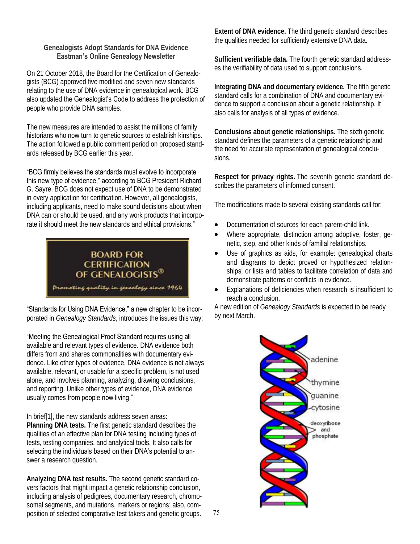#### **Genealogists Adopt Standards for DNA Evidence Eastman's Online Genealogy Newsletter**

On 21 October 2018, the Board for the Certification of Genealogists (BCG) approved five modified and seven new standards relating to the use of DNA evidence in genealogical work. BCG also updated the Genealogist's Code to address the protection of people who provide DNA samples.

The new measures are intended to assist the millions of family historians who now turn to genetic sources to establish kinships. The action followed a public comment period on proposed standards released by BCG earlier this year.

"BCG firmly believes the standards must evolve to incorporate this new type of evidence," according to BCG President Richard G. Sayre. BCG does not expect use of DNA to be demonstrated in every application for certification. However, all genealogists, including applicants, need to make sound decisions about when DNA can or should be used, and any work products that incorporate it should meet the new standards and ethical provisions."



"Standards for Using DNA Evidence," a new chapter to be incorporated in *Genealogy Standards*, introduces the issues this way:

"Meeting the Genealogical Proof Standard requires using all available and relevant types of evidence. DNA evidence both differs from and shares commonalities with documentary evidence. Like other types of evidence, DNA evidence is not always available, relevant, or usable for a specific problem, is not used alone, and involves planning, analyzing, drawing conclusions, and reporting. Unlike other types of evidence, DNA evidence usually comes from people now living."

In brief[1], the new standards address seven areas: **Planning DNA tests.** The first genetic standard describes the qualities of an effective plan for DNA testing including types of tests, testing companies, and analytical tools. It also calls for selecting the individuals based on their DNA's potential to answer a research question.

**Analyzing DNA test results.** The second genetic standard covers factors that might impact a genetic relationship conclusion, including analysis of pedigrees, documentary research, chromosomal segments, and mutations, markers or regions; also, composition of selected comparative test takers and genetic groups. **Extent of DNA evidence.** The third genetic standard describes the qualities needed for sufficiently extensive DNA data.

**Sufficient verifiable data.** The fourth genetic standard addresses the verifiability of data used to support conclusions.

**Integrating DNA and documentary evidence.** The fifth genetic standard calls for a combination of DNA and documentary evidence to support a conclusion about a genetic relationship. It also calls for analysis of all types of evidence.

**Conclusions about genetic relationships.** The sixth genetic standard defines the parameters of a genetic relationship and the need for accurate representation of genealogical conclusions.

**Respect for privacy rights.** The seventh genetic standard describes the parameters of informed consent.

The modifications made to several existing standards call for:

- Documentation of sources for each parent-child link.
- Where appropriate, distinction among adoptive, foster, genetic, step, and other kinds of familial relationships.
- Use of graphics as aids, for example: genealogical charts and diagrams to depict proved or hypothesized relationships; or lists and tables to facilitate correlation of data and demonstrate patterns or conflicts in evidence.
- Explanations of deficiencies when research is insufficient to reach a conclusion.

A new edition of *Genealogy Standards* is expected to be ready by next March.

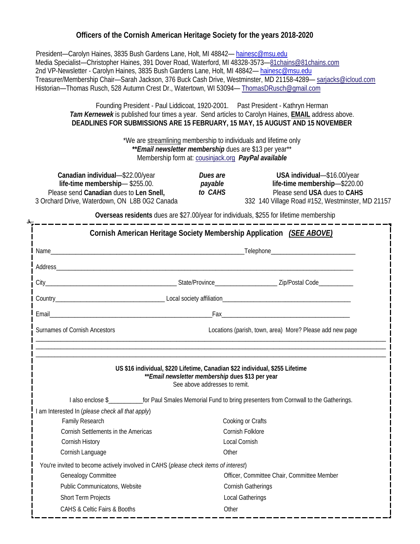## **Officers of the Cornish American Heritage Society for the years 2018-2020**

 President—Carolyn Haines, 3835 Bush Gardens Lane, Holt, MI 48842— [hainesc@msu.edu](mailto:hainesc@msu.edu) Media Specialist—Christopher Haines, 391 Dover Road, Waterford, MI 48328-3573—[81chains@81chains.com](mailto:81chains@81chains.com) 2nd VP-Newsletter - Carolyn Haines, 3835 Bush Gardens Lane, Holt, MI 48842-[hainesc@msu.edu](mailto:hainesc@msu.edu) Treasurer/Membership Chair—Sarah Jackson, 376 Buck Cash Drive, Westminster, MD 21158-4289— [sarjacks@icloud.com](mailto:sarjacks@icloud.com) Historian—Thomas Rusch, 528 Autumn Crest Dr., Watertown, WI 53094— [ThomasDRusch@gmail.com](mailto:ThomasDRusch@gmail.com)

> Founding President - Paul Liddicoat, 1920-2001. Past President - Kathryn Herman *Tam Kernewek* is published four times a year. Send articles to Carolyn Haines, **EMAIL** address above. **DEADLINES FOR SUBMISSIONS ARE 15 FEBRUARY, 15 MAY, 15 AUGUST AND 15 NOVEMBER**

> > \*We are streamlining membership to individuals and lifetime only **\*\****Email newsletter membership* dues are \$13 per year\*\* Membership form at: [cousinjack.org](http://www.cousinjack.org/) *PayPal available*

| Canadian individual-\$22.00/year              | Dues are | USA individual-\$16.00/year                      |
|-----------------------------------------------|----------|--------------------------------------------------|
| life-time membership— \$255.00.               | payable  | life-time membership-\$220.00                    |
| Please send Canadian dues to Len Snell,       | to CAHS  | Please send USA dues to CAHS                     |
| 3 Orchard Drive, Waterdown, ON L8B 0G2 Canada |          | 332 140 Village Road #152, Westminster, MD 21157 |

**Overseas residents** dues are \$27.00/year for individuals, \$255 for lifetime membership

|                               | Cornish American Heritage Society Membership Application (SEE ABOVE)                |                               |                                                                                                                        |  |  |
|-------------------------------|-------------------------------------------------------------------------------------|-------------------------------|------------------------------------------------------------------------------------------------------------------------|--|--|
|                               |                                                                                     |                               |                                                                                                                        |  |  |
|                               |                                                                                     |                               |                                                                                                                        |  |  |
|                               |                                                                                     |                               |                                                                                                                        |  |  |
|                               |                                                                                     |                               |                                                                                                                        |  |  |
|                               |                                                                                     |                               |                                                                                                                        |  |  |
| Surnames of Cornish Ancestors |                                                                                     |                               | Locations (parish, town, area) More? Please add new page                                                               |  |  |
|                               |                                                                                     | See above addresses to remit. | ** Email newsletter membership dues \$13 per year                                                                      |  |  |
|                               |                                                                                     |                               | I also enclose \$___________________for Paul Smales Memorial Fund to bring presenters from Cornwall to the Gatherings. |  |  |
|                               | am Interested In (please check all that apply)                                      |                               |                                                                                                                        |  |  |
| Family Research               |                                                                                     | Cooking or Crafts             |                                                                                                                        |  |  |
|                               | Cornish Settlements in the Americas                                                 | Cornish Folklore              |                                                                                                                        |  |  |
| Cornish History               |                                                                                     | Local Cornish                 |                                                                                                                        |  |  |
| Cornish Language              |                                                                                     | Other                         |                                                                                                                        |  |  |
|                               | You're invited to become actively involved in CAHS (please check items of interest) |                               |                                                                                                                        |  |  |
| Genealogy Committee           |                                                                                     |                               | Officer, Committee Chair, Committee Member                                                                             |  |  |
|                               | Public Communicatons, Website                                                       | Cornish Gatherings            |                                                                                                                        |  |  |
| Short Term Projects           | CAHS & Celtic Fairs & Booths                                                        | Local Gatherings<br>Other     |                                                                                                                        |  |  |